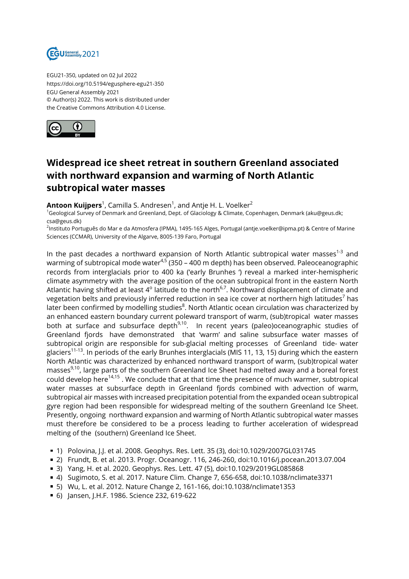

EGU21-350, updated on 02 Jul 2022 https://doi.org/10.5194/egusphere-egu21-350 EGU General Assembly 2021 © Author(s) 2022. This work is distributed under the Creative Commons Attribution 4.0 License.



## **Widespread ice sheet retreat in southern Greenland associated with northward expansion and warming of North Atlantic subtropical water masses**

**Antoon Kuijpers**<sup>1</sup>, Camilla S. Andresen<sup>1</sup>, and Antje H. L. Voelker<sup>2</sup>

<sup>1</sup>Geological Survey of Denmark and Greenland, Dept. of Glaciology & Climate, Copenhagen, Denmark (aku@geus.dk; csa@geus.dk)

<sup>2</sup>lnstituto Português do Mar e da Atmosfera (IPMA), 1495-165 Alges, Portugal (antje.voelker@ipma.pt) & Centre of Marine Sciences (CCMAR), University of the Algarve, 8005-139 Faro, Portugal

In the past decades a northward expansion of North Atlantic subtropical water masses $1-3$  and warming of subtropical mode water<sup>4,5</sup> (350 – 400 m depth) has been observed. Paleoceanographic records from interglacials prior to 400 ka ('early Brunhes ') reveal a marked inter-hemispheric climate asymmetry with the average position of the ocean subtropical front in the eastern North Atlantic having shifted at least 4 $^{\rm o}$  latitude to the north $^{6,7}$ . Northward displacement of climate and vegetation belts and previously inferred reduction in sea ice cover at northern high latitudes $^7$  has later been confirmed by modelling studies $^{\rm 8}$ . North Atlantic ocean circulation was characterized by an enhanced eastern boundary current poleward transport of warm, (sub)tropical water masses both at surface and subsurface depth<sup>9,10</sup>. In recent years (paleo)oceanographic studies of Greenland fjords have demonstrated that 'warm' and saline subsurface water masses of subtropical origin are responsible for sub-glacial melting processes of Greenland tide- water glaciers<sup>11-13</sup>. In periods of the early Brunhes interglacials (MIS 11, 13, 15) during which the eastern North Atlantic was characterized by enhanced northward transport of warm, (sub)tropical water masses<sup>9,10</sup>, large parts of the southern Greenland Ice Sheet had melted away and a boreal forest could develop here<sup>14,15</sup>. We conclude that at that time the presence of much warmer, subtropical water masses at subsurface depth in Greenland fjords combined with advection of warm, subtropical air masses with increased precipitation potential from the expanded ocean subtropical gyre region had been responsible for widespread melting of the southern Greenland Ice Sheet. Presently, ongoing northward expansion and warming of North Atlantic subtropical water masses must therefore be considered to be a process leading to further acceleration of widespread melting of the (southern) Greenland Ice Sheet.

- 1) Polovina, J.J. et al. 2008. Geophys. Res. Lett. 35 (3), doi:10.1029/2007GL031745
- 2) Frundt, B. et al. 2013. Progr. Oceanogr. 116, 246-260, doi:10.1016/j.pocean.2013.07.004
- 3) Yang, H. et al. 2020. Geophys. Res. Lett. 47 (5), doi:10.1029/2019GL085868
- 4) Sugimoto, S. et al. 2017. Nature Clim. Change 7, 656-658, doi:10.1038/nclimate3371
- 5) Wu, L. et al. 2012. Nature Change 2, 161-166, doi:10.1038/nclimate1353
- 6) Jansen, J.H.F. 1986. Science 232, 619-622